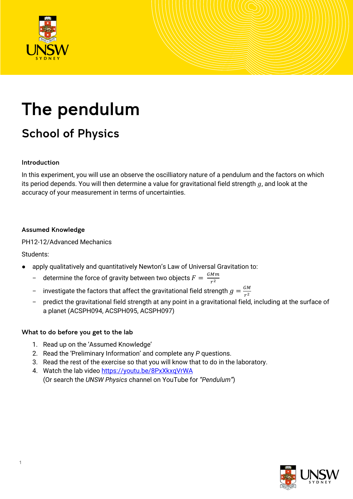

# The pendulum

# School of Physics

#### Introduction

In this experiment, you will use an observe the oscilliatory nature of a pendulum and the factors on which its period depends. You will then determine a value for gravitational field strength  $g$ , and look at the accuracy of your measurement in terms of uncertainties.

#### Assumed Knowledge

PH12-12/Advanced Mechanics

#### Students:

- apply qualitatively and quantitatively Newton's Law of Universal Gravitation to:
	- determine the force of gravity between two objects  $F = \frac{GMm}{r^2}$
	- $\;$  investigate the factors that affect the gravitational field strength  $g=\frac{GM}{r^2}$
	- predict the gravitational field strength at any point in a gravitational field, including at the surface of a planet (ACSPH094, ACSPH095, ACSPH097)

#### What to do before you get to the lab

- 1. Read up on the 'Assumed Knowledge'
- 2. Read the 'Preliminary Information' and complete any *P* questions.
- 3. Read the rest of the exercise so that you will know that to do in the laboratory.
- 4. Watch the lab video https://youtu.be/8PxXkxqVrWA (Or search the *UNSW Physics* channel on YouTube for *"Pendulum"*)

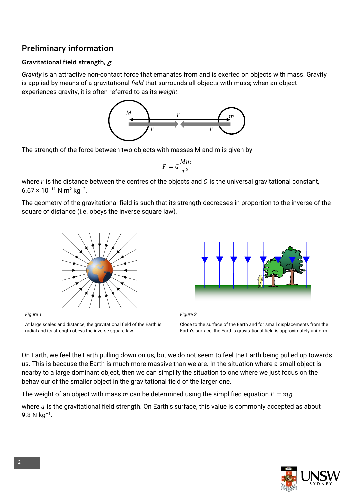# Preliminary information

#### Gravitational field strength,  $g$

*Gravity* is an attractive non-contact force that emanates from and is exerted on objects with mass. Gravity is applied by means of a gravitational *field* that surrounds all objects with mass; when an object experiences gravity, it is often referred to as its *weight*.



The strength of the force between two objects with masses M and m is given by

$$
F=G\frac{Mm}{r^2}
$$

where  $r$  is the distance between the centres of the objects and  $G$  is the universal gravitational constant,  $6.67 \times 10^{-11}$  N m<sup>2</sup> kg<sup>-2</sup>.

The geometry of the gravitational field is such that its strength decreases in proportion to the inverse of the square of distance (i.e. obeys the inverse square law).





*Figure 2*

Close to the surface of the Earth and for small displacements from the Earth's surface, the Earth's gravitational field is approximately uniform.

On Earth, we feel the Earth pulling down on us, but we do not seem to feel the Earth being pulled up towards us. This is because the Earth is much more massive than we are. In the situation where a small object is nearby to a large dominant object, then we can simplify the situation to one where we just focus on the behaviour of the smaller object in the gravitational field of the larger one.

The weight of an object with mass m can be determined using the simplified equation  $F = mg$ 

where  $g$  is the gravitational field strength. On Earth's surface, this value is commonly accepted as about  $9.8 N kg^{-1}$ .



*Figure 1* At large scales and distance, the gravitational field of the Earth is radial and its strength obeys the inverse square law.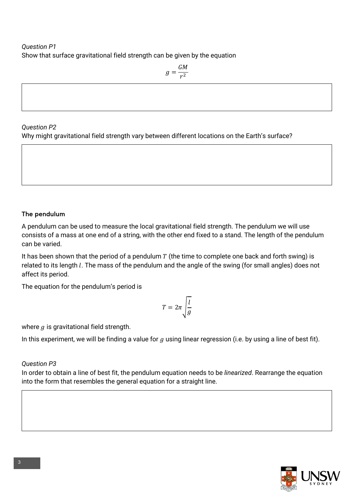### *Question P1* Show that surface gravitational field strength can be given by the equation

 $g = \frac{GM}{r^2}$ 

#### *Question P2*

Why might gravitational field strength vary between different locations on the Earth's surface?

#### The pendulum

A pendulum can be used to measure the local gravitational field strength. The pendulum we will use consists of a mass at one end of a string, with the other end fixed to a stand. The length of the pendulum can be varied.

It has been shown that the period of a pendulum  $T$  (the time to complete one back and forth swing) is related to its length  $l$ . The mass of the pendulum and the angle of the swing (for small angles) does not affect its period.

The equation for the pendulum's period is

$$
T = 2\pi \sqrt{\frac{l}{g}}
$$

where  $g$  is gravitational field strength.

In this experiment, we will be finding a value for  $g$  using linear regression (i.e. by using a line of best fit).

#### *Question P3*

In order to obtain a line of best fit, the pendulum equation needs to be *linearized*. Rearrange the equation into the form that resembles the general equation for a straight line.

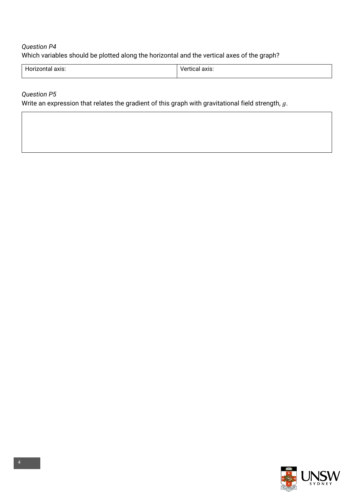# *Question P4* Which variables should be plotted along the horizontal and the vertical axes of the graph?

| <b>0770</b> | IXIS.         |
|-------------|---------------|
| נו מו       | $\sim$ $\sim$ |
|             |               |
|             |               |

#### *Question P5*

Write an expression that relates the gradient of this graph with gravitational field strength,  $g$ .

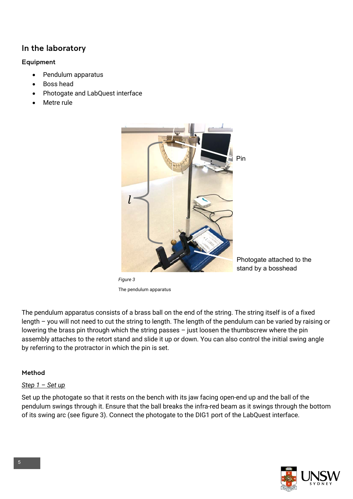# In the laboratory

#### Equipment

- Pendulum apparatus
- Boss head
- Photogate and LabQuest interface
- Metre rule



*Figure 3* The pendulum apparatus

Photogate attached to the stand by a bosshead

The pendulum apparatus consists of a brass ball on the end of the string. The string itself is of a fixed length – you will not need to cut the string to length. The length of the pendulum can be varied by raising or lowering the brass pin through which the string passes – just loosen the thumbscrew where the pin assembly attaches to the retort stand and slide it up or down. You can also control the initial swing angle by referring to the protractor in which the pin is set.

#### Method

#### *Step 1 – Set up*

Set up the photogate so that it rests on the bench with its jaw facing open-end up and the ball of the pendulum swings through it. Ensure that the ball breaks the infra-red beam as it swings through the bottom of its swing arc (see figure 3). Connect the photogate to the DIG1 port of the LabQuest interface.

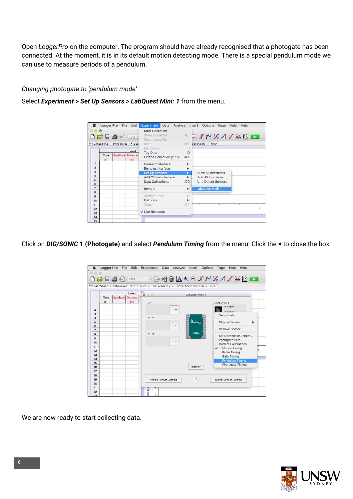Open *LoggerPro* on the computer. The program should have already recognised that a photogate has been connected. At the moment, it is in its default motion detecting mode. There is a special pendulum mode we can use to measure periods of a pendulum.

#### *Changing photogate to 'pendulum mode'*

Select *Experiment > Set Up Sensors > LabQuest Mini: 1* from the menu.

|                                   | <b>Logger Pro</b>                                      | File             | Edit                                        | <b>Experiment</b><br>Data<br>Analyze |                       | <b>Options</b><br>Insert<br>Page | Help<br>Help |
|-----------------------------------|--------------------------------------------------------|------------------|---------------------------------------------|--------------------------------------|-----------------------|----------------------------------|--------------|
|                                   |                                                        |                  |                                             | <b>Start Collection</b>              |                       |                                  |              |
|                                   | $\Box \not\sqsupseteq \Box \not\sqsupseteq \Leftarrow$ |                  | Page 1                                      | Store Latest Run<br>Clear Latest Run |                       | HQ Y N 12 1 / M Q D              |              |
|                                   |                                                        |                  | $\frac{1}{26}$ GateState = Unblocked • Dis- | Keep:                                | 36K                   | leration = $m/s^2$               |              |
|                                   |                                                        |                  |                                             | Mark Data                            | Ð                     |                                  |              |
|                                   |                                                        |                  | Latest                                      | <b>Tag Data</b>                      | D                     |                                  |              |
|                                   | Time<br>(s)                                            | <b>GateState</b> | <b>Distance</b><br>(m)                      | Extend Collection (27 s)             | <b>第丁</b>             |                                  |              |
| 1                                 |                                                        |                  |                                             | Connect Interface                    | ▶                     |                                  |              |
| $\overline{2}$                    |                                                        |                  |                                             | Remove Interface                     | ▶                     |                                  |              |
| 3                                 |                                                        |                  |                                             | <b>Set Up Sensors</b>                | ь                     | Show All Interfaces              |              |
| $\overline{4}$                    |                                                        |                  |                                             | Add Offline Interface                | ь                     | <b>Hide All Interfaces</b>       |              |
| 5                                 |                                                        |                  |                                             | Data Collection                      | <b>第D</b>             | <b>Auto Detect Sensors</b>       |              |
| $6\phantom{1}6$<br>$\overline{7}$ |                                                        |                  |                                             |                                      |                       |                                  |              |
| 8                                 |                                                        |                  |                                             | Remote                               | $\blacktriangleright$ | LabQuest Mini: 1                 |              |
| $\mathbf{9}$                      |                                                        |                  |                                             | Change Units                         | ×                     |                                  |              |
| 10 <sup>10</sup>                  |                                                        |                  |                                             | Calibrate                            | Þ                     |                                  |              |
| 11                                |                                                        |                  |                                             | Zero.                                | <b>360</b>            |                                  |              |
| 12                                |                                                        |                  |                                             |                                      |                       |                                  | 5            |
| 13                                |                                                        |                  |                                             | ✔ Live Readouts                      |                       |                                  |              |
| 14                                |                                                        |                  |                                             |                                      |                       |                                  |              |
| 15                                |                                                        |                  |                                             |                                      |                       |                                  |              |

Click on *DIG/SONIC* **1 (Photogate)** and select *Pendulum Timing* from the menu. Click the **×** to close the box.



We are now ready to start collecting data.

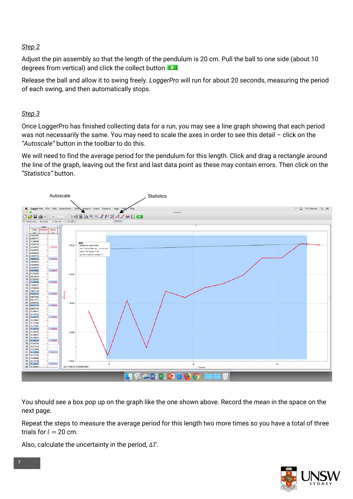#### *Step 2*

Adjust the pin assembly so that the length of the pendulum is 20 cm. Pull the ball to one side (about 10 degrees from vertical) and click the collect button

Release the ball and allow it to swing freely. *LoggerPro* will run for about 20 seconds, measuring the period of each swing, and then automatically stops.

#### *Step 3*

Once LoggerPro has finished collecting data for a run, you may see a line graph showing that each period was not necessarily the same. You may need to scale the axes in order to see this detail – click on the *"Autoscale"* button in the toolbar to do this.

We will need to find the average period for the pendulum for this length. Click and drag a rectangle around the line of the graph, leaving out the first and last data point as these may contain errors. Then click on the *"Statistics"* button.



You should see a box pop up on the graph like the one shown above. Record the *mean* in the space on the next page.

Repeat the steps to measure the average period for this length two more times so you have a total of three trials for  $l = 20$  cm.

Also, calculate the uncertainty in the period,  $\Delta T$ .

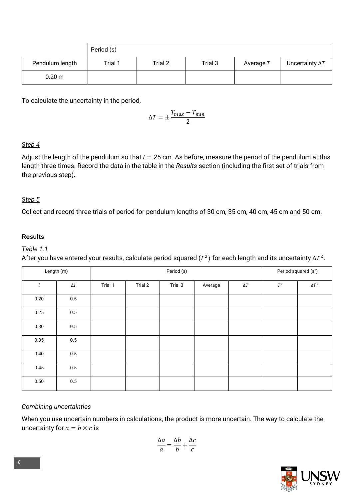|                  | Period (s) |         |         |             |                        |
|------------------|------------|---------|---------|-------------|------------------------|
| Pendulum length  | Trial 1    | Trial 2 | Trial 3 | Average $T$ | Uncertainty $\Delta T$ |
| $0.20 \text{ m}$ |            |         |         |             |                        |

To calculate the uncertainty in the period,

$$
\Delta T = \pm \frac{T_{max} - T_{min}}{2}
$$

#### *Step 4*

Adjust the length of the pendulum so that  $l = 25$  cm. As before, measure the period of the pendulum at this length three times. Record the data in the table in the *Results* section (including the first set of trials from the previous step).

#### *Step 5*

Collect and record three trials of period for pendulum lengths of 30 cm, 35 cm, 40 cm, 45 cm and 50 cm.

#### Results

#### *Table 1.1*

After you have entered your results, calculate period squared ( $T^2$ ) for each length and its uncertainty  $\Delta T^2$ .

| Length (m) |            | Period (s) |         |         |         |            | Period squared (s <sup>2</sup> ) |              |
|------------|------------|------------|---------|---------|---------|------------|----------------------------------|--------------|
| l          | $\Delta l$ | Trial 1    | Trial 2 | Trial 3 | Average | $\Delta T$ | $T^2$                            | $\Delta T^2$ |
| 0.20       | 0.5        |            |         |         |         |            |                                  |              |
| 0.25       | $0.5\,$    |            |         |         |         |            |                                  |              |
| 0.30       | $0.5\,$    |            |         |         |         |            |                                  |              |
| 0.35       | 0.5        |            |         |         |         |            |                                  |              |
| 0.40       | 0.5        |            |         |         |         |            |                                  |              |
| 0.45       | $0.5\,$    |            |         |         |         |            |                                  |              |
| 0.50       | 0.5        |            |         |         |         |            |                                  |              |

#### *Combining uncertainties*

When you use uncertain numbers in calculations, the product is more uncertain. The way to calculate the uncertainty for  $a = b \times c$  is

$$
\frac{\Delta a}{a} = \frac{\Delta b}{b} + \frac{\Delta c}{c}
$$

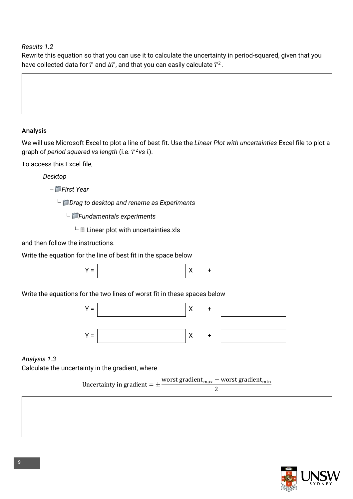*Results 1.2*

Rewrite this equation so that you can use it to calculate the uncertainty in period-squared, given that you have collected data for  $T$  and  $\Delta T$ , and that you can easily calculate  $T^2$ .

#### Analysis

We will use Microsoft Excel to plot a line of best fit. Use the *Linear Plot with uncertainties* Excel file to plot a graph of *period squared vs length* (i.e.  $T^2$ *vs l*).

To access this Excel file,

*Desktop*

└ *First Year*

└ *Drag to desktop and rename as Experiments*

└ *Fundamentals experiments*

 $\perp \Box$  Linear plot with uncertainties.xls

and then follow the instructions.

Write the equation for the line of best fit in the space below



Write the equations for the two lines of worst fit in these spaces below



*Analysis 1.3* Calculate the uncertainty in the gradient, where

Uncertainty in gradient =  $\pm \frac{\text{worst gradient}_{\text{max}} - \text{worst gradient}_{\text{min}}}{2}$ 



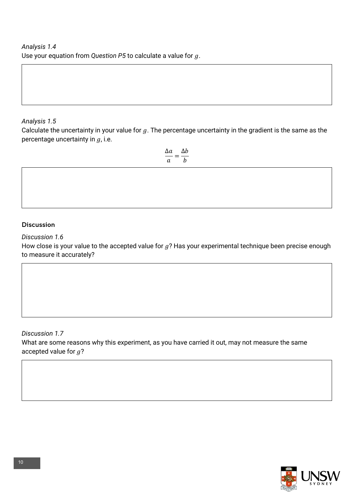#### *Analysis 1.5*

Calculate the uncertainty in your value for  $g$ . The percentage uncertainty in the gradient is the same as the percentage uncertainty in  $q$ , i.e.

> $\Delta a$  $\frac{\Delta a}{a} = \frac{\Delta b}{b}$  $\overline{h}$

#### Discussion

*Discussion 1.6*

How close is your value to the accepted value for  $g$ ? Has your experimental technique been precise enough to measure it accurately?

#### *Discussion 1.7* What are some reasons why this experiment, as you have carried it out, may not measure the same accepted value for  $g$ ?